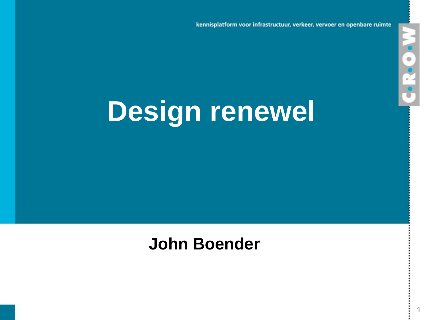kennisplatform voor infrastructuur, verkeer, vervoer en openbare ruimte

1

**N-C-R-O** 

# **Design renewel**

### **John Boender**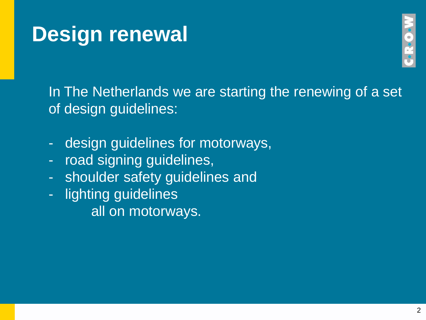

In The Netherlands we are starting the renewing of a set of design guidelines:

- design guidelines for motorways,
- road signing guidelines,
- shoulder safety guidelines and
- lighting guidelines all on motorways.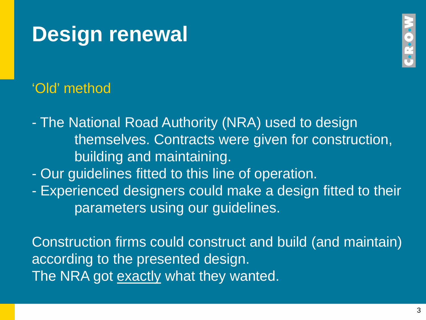# ReO.

#### 'Old' method

- The National Road Authority (NRA) used to design themselves. Contracts were given for construction, building and maintaining.

- Our guidelines fitted to this line of operation.
- Experienced designers could make a design fitted to their parameters using our guidelines.

Construction firms could construct and build (and maintain) according to the presented design. The NRA got exactly what they wanted.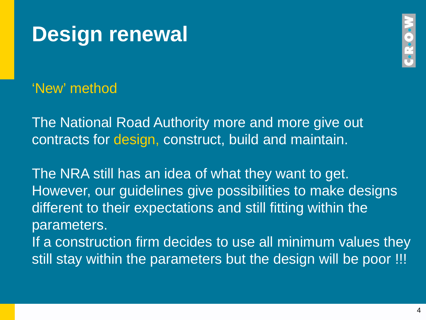



'New' method

The National Road Authority more and more give out contracts for design, construct, build and maintain.

The NRA still has an idea of what they want to get. However, our guidelines give possibilities to make designs different to their expectations and still fitting within the parameters. If a construction firm decides to use all minimum values they still stay within the parameters but the design will be poor !!!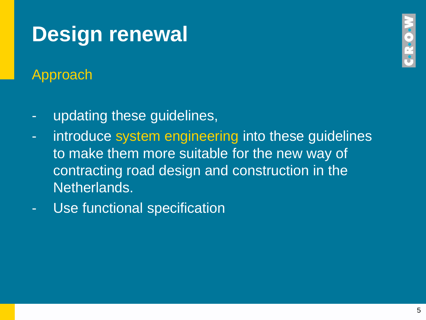Approach

- updating these guidelines,
- introduce system engineering into these guidelines to make them more suitable for the new way of contracting road design and construction in the Netherlands.
- Use functional specification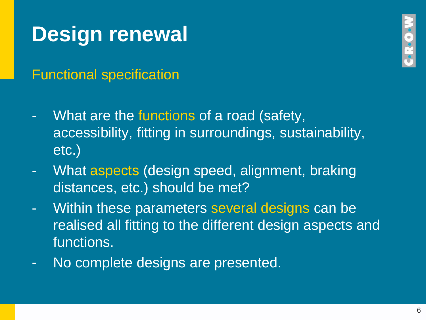Functional specification

- What are the functions of a road (safety, accessibility, fitting in surroundings, sustainability, etc.)
- What aspects (design speed, alignment, braking distances, etc.) should be met?
- Within these parameters several designs can be realised all fitting to the different design aspects and functions.
- No complete designs are presented.

**Coc**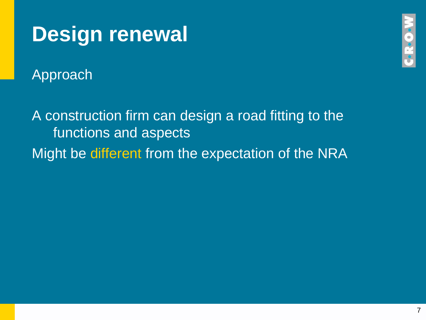Approach

A construction firm can design a road fitting to the functions and aspects Might be different from the expectation of the NRA